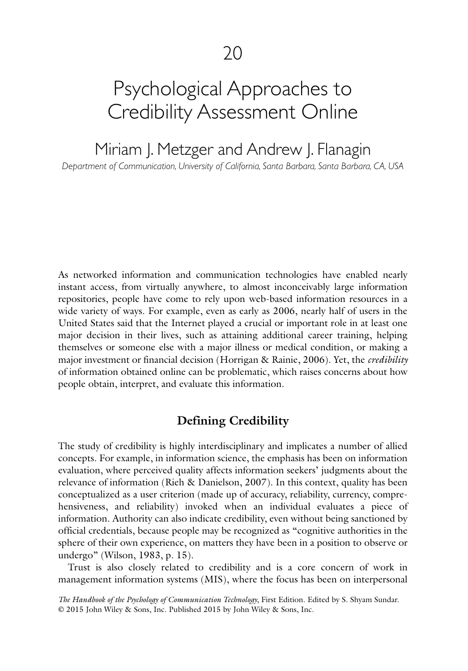# Psychological Approaches to Credibility Assessment Online

# Miriam J. Metzger and Andrew J. Flanagin

*Department of Communication, University of California, Santa Barbara, Santa Barbara, CA, USA*

As networked information and communication technologies have enabled nearly instant access, from virtually anywhere, to almost inconceivably large information repositories, people have come to rely upon web-based information resources in a wide variety of ways. For example, even as early as 2006, nearly half of users in the United States said that the Internet played a crucial or important role in at least one major decision in their lives, such as attaining additional career training, helping themselves or someone else with a major illness or medical condition, or making a major investment or financial decision (Horrigan & Rainie, 2006). Yet, the *credibility* of information obtained online can be problematic, which raises concerns about how people obtain, interpret, and evaluate this information.

# **Defining Credibility**

The study of credibility is highly interdisciplinary and implicates a number of allied concepts. For example, in information science, the emphasis has been on information evaluation, where perceived quality affects information seekers' judgments about the relevance of information (Rieh & Danielson, 2007). In this context, quality has been conceptualized as a user criterion (made up of accuracy, reliability, currency, comprehensiveness, and reliability) invoked when an individual evaluates a piece of information. Authority can also indicate credibility, even without being sanctioned by official credentials, because people may be recognized as "cognitive authorities in the sphere of their own experience, on matters they have been in a position to observe or undergo" (Wilson, 1983, p. 15).

Trust is also closely related to credibility and is a core concern of work in management information systems (MIS), where the focus has been on interpersonal

*The Handbook of the Psychology of Communication Technology*, First Edition. Edited by S. Shyam Sundar. © 2015 John Wiley & Sons, Inc. Published 2015 by John Wiley & Sons, Inc.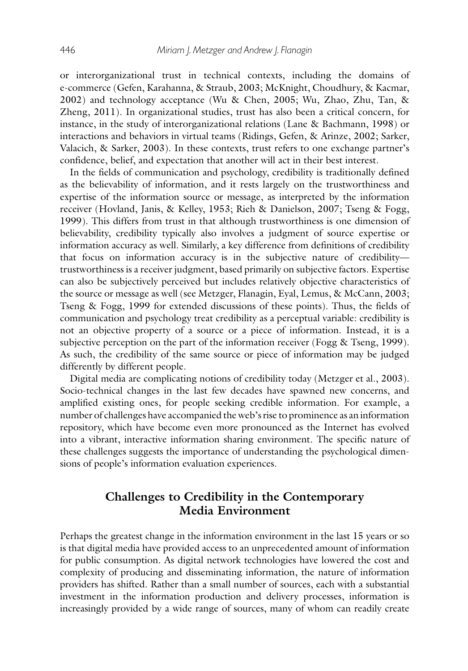or interorganizational trust in technical contexts, including the domains of e-commerce (Gefen, Karahanna, & Straub, 2003; McKnight, Choudhury, & Kacmar, 2002) and technology acceptance (Wu & Chen, 2005; Wu, Zhao, Zhu, Tan, & Zheng, 2011). In organizational studies, trust has also been a critical concern, for instance, in the study of interorganizational relations (Lane & Bachmann, 1998) or interactions and behaviors in virtual teams (Ridings, Gefen, & Arinze, 2002; Sarker, Valacich, & Sarker, 2003). In these contexts, trust refers to one exchange partner's confidence, belief, and expectation that another will act in their best interest.

In the fields of communication and psychology, credibility is traditionally defined as the believability of information, and it rests largely on the trustworthiness and expertise of the information source or message, as interpreted by the information receiver (Hovland, Janis, & Kelley, 1953; Rieh & Danielson, 2007; Tseng & Fogg, 1999). This differs from trust in that although trustworthiness is one dimension of believability, credibility typically also involves a judgment of source expertise or information accuracy as well. Similarly, a key difference from definitions of credibility that focus on information accuracy is in the subjective nature of credibility trustworthiness is a receiver judgment, based primarily on subjective factors. Expertise can also be subjectively perceived but includes relatively objective characteristics of the source or message as well (see Metzger, Flanagin, Eyal, Lemus, & McCann, 2003; Tseng & Fogg, 1999 for extended discussions of these points). Thus, the fields of communication and psychology treat credibility as a perceptual variable: credibility is not an objective property of a source or a piece of information. Instead, it is a subjective perception on the part of the information receiver (Fogg & Tseng, 1999). As such, the credibility of the same source or piece of information may be judged differently by different people.

Digital media are complicating notions of credibility today (Metzger et al., 2003). Socio-technical changes in the last few decades have spawned new concerns, and amplified existing ones, for people seeking credible information. For example, a number of challenges have accompanied the web's rise to prominence as an information repository, which have become even more pronounced as the Internet has evolved into a vibrant, interactive information sharing environment. The specific nature of these challenges suggests the importance of understanding the psychological dimensions of people's information evaluation experiences.

# **Challenges to Credibility in the Contemporary Media Environment**

Perhaps the greatest change in the information environment in the last 15 years or so is that digital media have provided access to an unprecedented amount of information for public consumption. As digital network technologies have lowered the cost and complexity of producing and disseminating information, the nature of information providers has shifted. Rather than a small number of sources, each with a substantial investment in the information production and delivery processes, information is increasingly provided by a wide range of sources, many of whom can readily create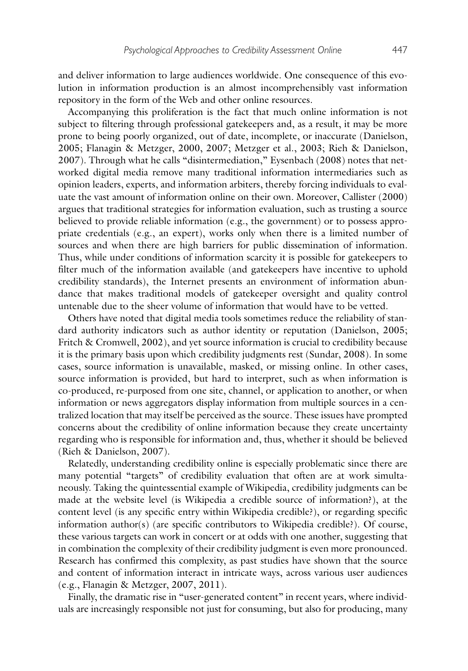and deliver information to large audiences worldwide. One consequence of this evolution in information production is an almost incomprehensibly vast information repository in the form of the Web and other online resources.

Accompanying this proliferation is the fact that much online information is not subject to filtering through professional gatekeepers and, as a result, it may be more prone to being poorly organized, out of date, incomplete, or inaccurate (Danielson, 2005; Flanagin & Metzger, 2000, 2007; Metzger et al., 2003; Rieh & Danielson, 2007). Through what he calls "disintermediation," Eysenbach (2008) notes that networked digital media remove many traditional information intermediaries such as opinion leaders, experts, and information arbiters, thereby forcing individuals to evaluate the vast amount of information online on their own. Moreover, Callister (2000) argues that traditional strategies for information evaluation, such as trusting a source believed to provide reliable information (e.g., the government) or to possess appropriate credentials (e.g., an expert), works only when there is a limited number of sources and when there are high barriers for public dissemination of information. Thus, while under conditions of information scarcity it is possible for gatekeepers to filter much of the information available (and gatekeepers have incentive to uphold credibility standards), the Internet presents an environment of information abundance that makes traditional models of gatekeeper oversight and quality control untenable due to the sheer volume of information that would have to be vetted.

Others have noted that digital media tools sometimes reduce the reliability of standard authority indicators such as author identity or reputation (Danielson, 2005; Fritch & Cromwell, 2002), and yet source information is crucial to credibility because it is the primary basis upon which credibility judgments rest (Sundar, 2008). In some cases, source information is unavailable, masked, or missing online. In other cases, source information is provided, but hard to interpret, such as when information is co-produced, re-purposed from one site, channel, or application to another, or when information or news aggregators display information from multiple sources in a centralized location that may itself be perceived as the source. These issues have prompted concerns about the credibility of online information because they create uncertainty regarding who is responsible for information and, thus, whether it should be believed (Rieh & Danielson, 2007).

Relatedly, understanding credibility online is especially problematic since there are many potential "targets" of credibility evaluation that often are at work simultaneously. Taking the quintessential example of Wikipedia, credibility judgments can be made at the website level (is Wikipedia a credible source of information?), at the content level (is any specific entry within Wikipedia credible?), or regarding specific information author(s) (are specific contributors to Wikipedia credible?). Of course, these various targets can work in concert or at odds with one another, suggesting that in combination the complexity of their credibility judgment is even more pronounced. Research has confirmed this complexity, as past studies have shown that the source and content of information interact in intricate ways, across various user audiences (e.g., Flanagin & Metzger, 2007, 2011).

Finally, the dramatic rise in "user-generated content" in recent years, where individuals are increasingly responsible not just for consuming, but also for producing, many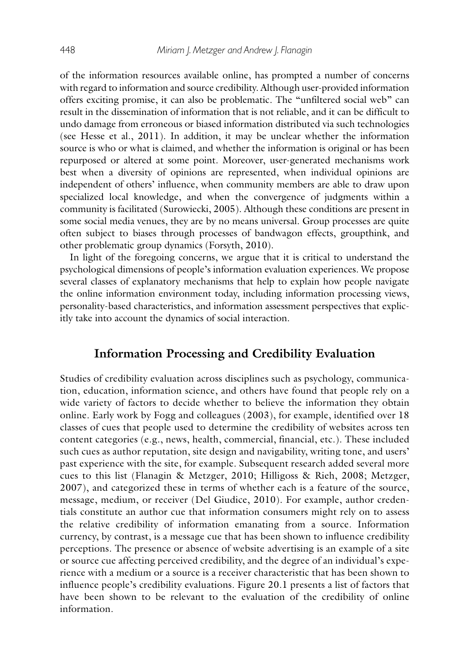of the information resources available online, has prompted a number of concerns with regard to information and source credibility. Although user-provided information offers exciting promise, it can also be problematic. The "unfiltered social web" can result in the dissemination of information that is not reliable, and it can be difficult to undo damage from erroneous or biased information distributed via such technologies (see Hesse et al., 2011). In addition, it may be unclear whether the information source is who or what is claimed, and whether the information is original or has been repurposed or altered at some point. Moreover, user-generated mechanisms work best when a diversity of opinions are represented, when individual opinions are independent of others' influence, when community members are able to draw upon specialized local knowledge, and when the convergence of judgments within a community is facilitated (Surowiecki, 2005). Although these conditions are present in some social media venues, they are by no means universal. Group processes are quite often subject to biases through processes of bandwagon effects, groupthink, and other problematic group dynamics (Forsyth, 2010).

In light of the foregoing concerns, we argue that it is critical to understand the psychological dimensions of people's information evaluation experiences. We propose several classes of explanatory mechanisms that help to explain how people navigate the online information environment today, including information processing views, personality-based characteristics, and information assessment perspectives that explicitly take into account the dynamics of social interaction.

# **Information Processing and Credibility Evaluation**

Studies of credibility evaluation across disciplines such as psychology, communication, education, information science, and others have found that people rely on a wide variety of factors to decide whether to believe the information they obtain online. Early work by Fogg and colleagues (2003), for example, identified over 18 classes of cues that people used to determine the credibility of websites across ten content categories (e.g., news, health, commercial, financial, etc.). These included such cues as author reputation, site design and navigability, writing tone, and users' past experience with the site, for example. Subsequent research added several more cues to this list (Flanagin & Metzger, 2010; Hilligoss & Rieh, 2008; Metzger, 2007), and categorized these in terms of whether each is a feature of the source, message, medium, or receiver (Del Giudice, 2010). For example, author credentials constitute an author cue that information consumers might rely on to assess the relative credibility of information emanating from a source. Information currency, by contrast, is a message cue that has been shown to influence credibility perceptions. The presence or absence of website advertising is an example of a site or source cue affecting perceived credibility, and the degree of an individual's experience with a medium or a source is a receiver characteristic that has been shown to influence people's credibility evaluations. Figure 20.1 presents a list of factors that have been shown to be relevant to the evaluation of the credibility of online information.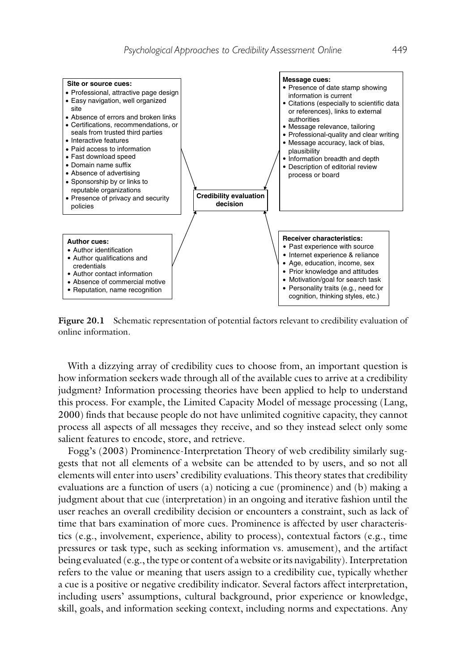

**Figure 20.1** Schematic representation of potential factors relevant to credibility evaluation of online information.

With a dizzying array of credibility cues to choose from, an important question is how information seekers wade through all of the available cues to arrive at a credibility judgment? Information processing theories have been applied to help to understand this process. For example, the Limited Capacity Model of message processing (Lang, 2000) finds that because people do not have unlimited cognitive capacity, they cannot process all aspects of all messages they receive, and so they instead select only some salient features to encode, store, and retrieve.

Fogg's (2003) Prominence-Interpretation Theory of web credibility similarly suggests that not all elements of a website can be attended to by users, and so not all elements will enter into users' credibility evaluations. This theory states that credibility evaluations are a function of users (a) noticing a cue (prominence) and (b) making a judgment about that cue (interpretation) in an ongoing and iterative fashion until the user reaches an overall credibility decision or encounters a constraint, such as lack of time that bars examination of more cues. Prominence is affected by user characteristics (e.g., involvement, experience, ability to process), contextual factors (e.g., time pressures or task type, such as seeking information vs. amusement), and the artifact being evaluated (e.g., the type or content of a website or its navigability). Interpretation refers to the value or meaning that users assign to a credibility cue, typically whether a cue is a positive or negative credibility indicator. Several factors affect interpretation, including users' assumptions, cultural background, prior experience or knowledge, skill, goals, and information seeking context, including norms and expectations. Any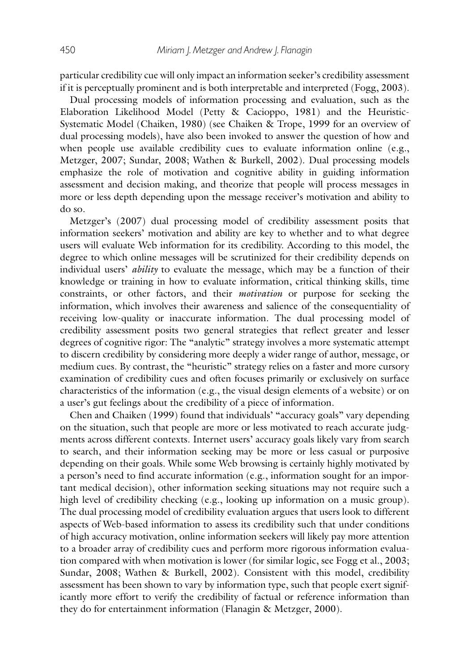particular credibility cue will only impact an information seeker's credibility assessment if it is perceptually prominent and is both interpretable and interpreted (Fogg, 2003).

Dual processing models of information processing and evaluation, such as the Elaboration Likelihood Model (Petty & Cacioppo, 1981) and the Heuristic-Systematic Model (Chaiken, 1980) (see Chaiken & Trope, 1999 for an overview of dual processing models), have also been invoked to answer the question of how and when people use available credibility cues to evaluate information online (e.g., Metzger, 2007; Sundar, 2008; Wathen & Burkell, 2002). Dual processing models emphasize the role of motivation and cognitive ability in guiding information assessment and decision making, and theorize that people will process messages in more or less depth depending upon the message receiver's motivation and ability to do so.

Metzger's (2007) dual processing model of credibility assessment posits that information seekers' motivation and ability are key to whether and to what degree users will evaluate Web information for its credibility. According to this model, the degree to which online messages will be scrutinized for their credibility depends on individual users' *ability* to evaluate the message, which may be a function of their knowledge or training in how to evaluate information, critical thinking skills, time constraints, or other factors, and their *motivation* or purpose for seeking the information, which involves their awareness and salience of the consequentiality of receiving low-quality or inaccurate information. The dual processing model of credibility assessment posits two general strategies that reflect greater and lesser degrees of cognitive rigor: The "analytic" strategy involves a more systematic attempt to discern credibility by considering more deeply a wider range of author, message, or medium cues. By contrast, the "heuristic" strategy relies on a faster and more cursory examination of credibility cues and often focuses primarily or exclusively on surface characteristics of the information (e.g., the visual design elements of a website) or on a user's gut feelings about the credibility of a piece of information.

Chen and Chaiken (1999) found that individuals' "accuracy goals" vary depending on the situation, such that people are more or less motivated to reach accurate judgments across different contexts. Internet users' accuracy goals likely vary from search to search, and their information seeking may be more or less casual or purposive depending on their goals. While some Web browsing is certainly highly motivated by a person's need to find accurate information (e.g., information sought for an important medical decision), other information seeking situations may not require such a high level of credibility checking (e.g., looking up information on a music group). The dual processing model of credibility evaluation argues that users look to different aspects of Web-based information to assess its credibility such that under conditions of high accuracy motivation, online information seekers will likely pay more attention to a broader array of credibility cues and perform more rigorous information evaluation compared with when motivation is lower (for similar logic, see Fogg et al., 2003; Sundar, 2008; Wathen & Burkell, 2002). Consistent with this model, credibility assessment has been shown to vary by information type, such that people exert significantly more effort to verify the credibility of factual or reference information than they do for entertainment information (Flanagin & Metzger, 2000).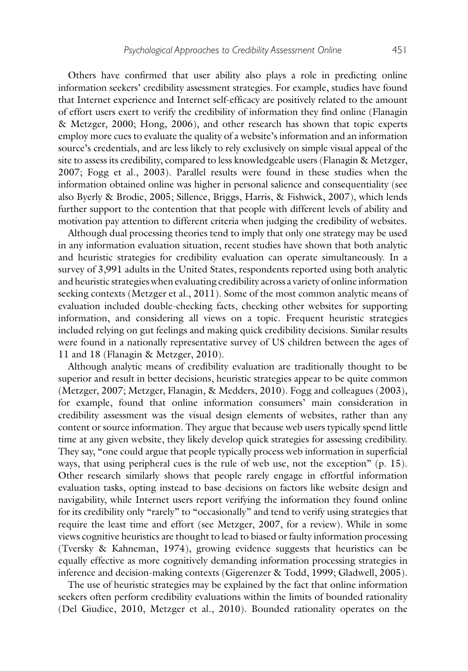Others have confirmed that user ability also plays a role in predicting online information seekers' credibility assessment strategies. For example, studies have found that Internet experience and Internet self-efficacy are positively related to the amount of effort users exert to verify the credibility of information they find online (Flanagin & Metzger, 2000; Hong, 2006), and other research has shown that topic experts employ more cues to evaluate the quality of a website's information and an information source's credentials, and are less likely to rely exclusively on simple visual appeal of the site to assess its credibility, compared to less knowledgeable users (Flanagin & Metzger, 2007; Fogg et al., 2003). Parallel results were found in these studies when the information obtained online was higher in personal salience and consequentiality (see also Byerly & Brodie, 2005; Sillence, Briggs, Harris, & Fishwick, 2007), which lends further support to the contention that that people with different levels of ability and motivation pay attention to different criteria when judging the credibility of websites.

Although dual processing theories tend to imply that only one strategy may be used in any information evaluation situation, recent studies have shown that both analytic and heuristic strategies for credibility evaluation can operate simultaneously. In a survey of 3,991 adults in the United States, respondents reported using both analytic and heuristic strategies when evaluating credibility across a variety of online information seeking contexts (Metzger et al., 2011). Some of the most common analytic means of evaluation included double-checking facts, checking other websites for supporting information, and considering all views on a topic. Frequent heuristic strategies included relying on gut feelings and making quick credibility decisions. Similar results were found in a nationally representative survey of US children between the ages of 11 and 18 (Flanagin & Metzger, 2010).

Although analytic means of credibility evaluation are traditionally thought to be superior and result in better decisions, heuristic strategies appear to be quite common (Metzger, 2007; Metzger, Flanagin, & Medders, 2010). Fogg and colleagues (2003), for example, found that online information consumers' main consideration in credibility assessment was the visual design elements of websites, rather than any content or source information. They argue that because web users typically spend little time at any given website, they likely develop quick strategies for assessing credibility. They say, "one could argue that people typically process web information in superficial ways, that using peripheral cues is the rule of web use, not the exception" (p. 15). Other research similarly shows that people rarely engage in effortful information evaluation tasks, opting instead to base decisions on factors like website design and navigability, while Internet users report verifying the information they found online for its credibility only "rarely" to "occasionally" and tend to verify using strategies that require the least time and effort (see Metzger, 2007, for a review). While in some views cognitive heuristics are thought to lead to biased or faulty information processing (Tversky & Kahneman, 1974), growing evidence suggests that heuristics can be equally effective as more cognitively demanding information processing strategies in inference and decision-making contexts (Gigerenzer & Todd, 1999; Gladwell, 2005).

The use of heuristic strategies may be explained by the fact that online information seekers often perform credibility evaluations within the limits of bounded rationality (Del Giudice, 2010, Metzger et al., 2010). Bounded rationality operates on the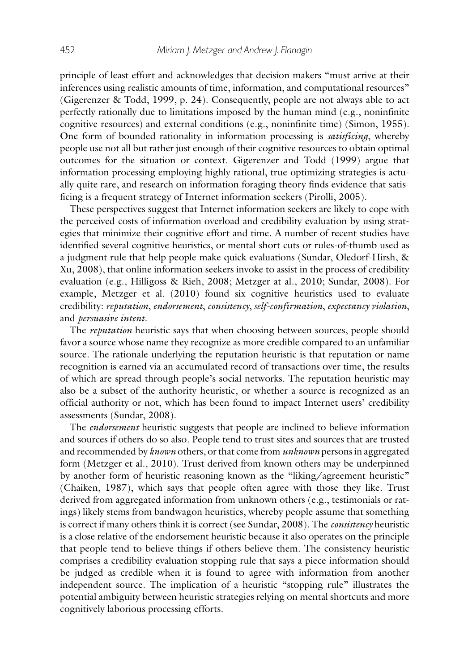principle of least effort and acknowledges that decision makers "must arrive at their inferences using realistic amounts of time, information, and computational resources" (Gigerenzer & Todd, 1999, p. 24). Consequently, people are not always able to act perfectly rationally due to limitations imposed by the human mind (e.g., noninfinite cognitive resources) and external conditions (e.g., noninfinite time) (Simon, 1955). One form of bounded rationality in information processing is *satisficing*, whereby people use not all but rather just enough of their cognitive resources to obtain optimal outcomes for the situation or context. Gigerenzer and Todd (1999) argue that information processing employing highly rational, true optimizing strategies is actually quite rare, and research on information foraging theory finds evidence that satisficing is a frequent strategy of Internet information seekers (Pirolli, 2005).

These perspectives suggest that Internet information seekers are likely to cope with the perceived costs of information overload and credibility evaluation by using strategies that minimize their cognitive effort and time. A number of recent studies have identified several cognitive heuristics, or mental short cuts or rules-of-thumb used as a judgment rule that help people make quick evaluations (Sundar, Oledorf-Hirsh, & Xu, 2008), that online information seekers invoke to assist in the process of credibility evaluation (e.g., Hilligoss & Rieh, 2008; Metzger at al., 2010; Sundar, 2008). For example, Metzger et al. (2010) found six cognitive heuristics used to evaluate credibility: *reputation*, *endorsement*, *consistency*, *self-confirmation*, *expectancy violation*, and *persuasive intent*.

The *reputation* heuristic says that when choosing between sources, people should favor a source whose name they recognize as more credible compared to an unfamiliar source. The rationale underlying the reputation heuristic is that reputation or name recognition is earned via an accumulated record of transactions over time, the results of which are spread through people's social networks. The reputation heuristic may also be a subset of the authority heuristic, or whether a source is recognized as an official authority or not, which has been found to impact Internet users' credibility assessments (Sundar, 2008).

The *endorsement* heuristic suggests that people are inclined to believe information and sources if others do so also. People tend to trust sites and sources that are trusted and recommended by *known* others, or that come from *unknown* persons in aggregated form (Metzger et al., 2010). Trust derived from known others may be underpinned by another form of heuristic reasoning known as the "liking/agreement heuristic" (Chaiken, 1987), which says that people often agree with those they like. Trust derived from aggregated information from unknown others (e.g., testimonials or ratings) likely stems from bandwagon heuristics, whereby people assume that something is correct if many others think it is correct (see Sundar, 2008). The *consistency* heuristic is a close relative of the endorsement heuristic because it also operates on the principle that people tend to believe things if others believe them. The consistency heuristic comprises a credibility evaluation stopping rule that says a piece information should be judged as credible when it is found to agree with information from another independent source. The implication of a heuristic "stopping rule" illustrates the potential ambiguity between heuristic strategies relying on mental shortcuts and more cognitively laborious processing efforts.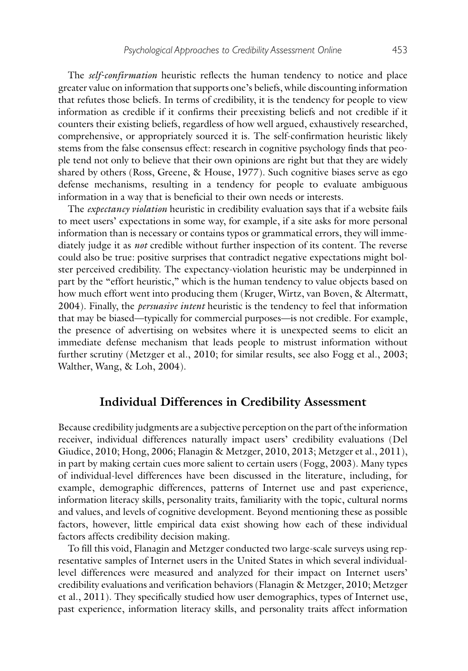The *self-confirmation* heuristic reflects the human tendency to notice and place greater value on information that supports one's beliefs, while discounting information that refutes those beliefs. In terms of credibility, it is the tendency for people to view information as credible if it confirms their preexisting beliefs and not credible if it counters their existing beliefs, regardless of how well argued, exhaustively researched, comprehensive, or appropriately sourced it is. The self-confirmation heuristic likely stems from the false consensus effect: research in cognitive psychology finds that people tend not only to believe that their own opinions are right but that they are widely shared by others (Ross, Greene, & House, 1977). Such cognitive biases serve as ego defense mechanisms, resulting in a tendency for people to evaluate ambiguous information in a way that is beneficial to their own needs or interests.

The *expectancy violation* heuristic in credibility evaluation says that if a website fails to meet users' expectations in some way, for example, if a site asks for more personal information than is necessary or contains typos or grammatical errors, they will immediately judge it as *not* credible without further inspection of its content. The reverse could also be true: positive surprises that contradict negative expectations might bolster perceived credibility. The expectancy-violation heuristic may be underpinned in part by the "effort heuristic," which is the human tendency to value objects based on how much effort went into producing them (Kruger, Wirtz, van Boven, & Altermatt, 2004). Finally, the *persuasive intent* heuristic is the tendency to feel that information that may be biased—typically for commercial purposes—is not credible. For example, the presence of advertising on websites where it is unexpected seems to elicit an immediate defense mechanism that leads people to mistrust information without further scrutiny (Metzger et al., 2010; for similar results, see also Fogg et al., 2003; Walther, Wang, & Loh, 2004).

#### **Individual Differences in Credibility Assessment**

Because credibility judgments are a subjective perception on the part of the information receiver, individual differences naturally impact users' credibility evaluations (Del Giudice, 2010; Hong, 2006; Flanagin & Metzger, 2010, 2013; Metzger et al., 2011), in part by making certain cues more salient to certain users (Fogg, 2003). Many types of individual-level differences have been discussed in the literature, including, for example, demographic differences, patterns of Internet use and past experience, information literacy skills, personality traits, familiarity with the topic, cultural norms and values, and levels of cognitive development. Beyond mentioning these as possible factors, however, little empirical data exist showing how each of these individual factors affects credibility decision making.

To fill this void, Flanagin and Metzger conducted two large-scale surveys using representative samples of Internet users in the United States in which several individuallevel differences were measured and analyzed for their impact on Internet users' credibility evaluations and verification behaviors (Flanagin & Metzger, 2010; Metzger et al., 2011). They specifically studied how user demographics, types of Internet use, past experience, information literacy skills, and personality traits affect information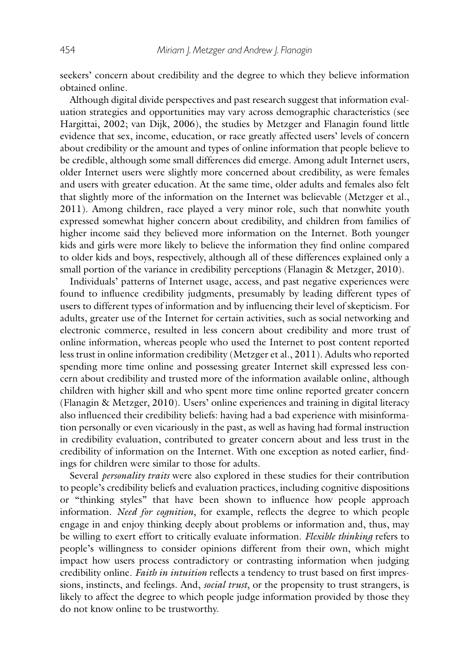seekers' concern about credibility and the degree to which they believe information obtained online.

Although digital divide perspectives and past research suggest that information evaluation strategies and opportunities may vary across demographic characteristics (see Hargittai, 2002; van Dijk, 2006), the studies by Metzger and Flanagin found little evidence that sex, income, education, or race greatly affected users' levels of concern about credibility or the amount and types of online information that people believe to be credible, although some small differences did emerge. Among adult Internet users, older Internet users were slightly more concerned about credibility, as were females and users with greater education. At the same time, older adults and females also felt that slightly more of the information on the Internet was believable (Metzger et al., 2011). Among children, race played a very minor role, such that nonwhite youth expressed somewhat higher concern about credibility, and children from families of higher income said they believed more information on the Internet. Both younger kids and girls were more likely to believe the information they find online compared to older kids and boys, respectively, although all of these differences explained only a small portion of the variance in credibility perceptions (Flanagin & Metzger, 2010).

Individuals' patterns of Internet usage, access, and past negative experiences were found to influence credibility judgments, presumably by leading different types of users to different types of information and by influencing their level of skepticism. For adults, greater use of the Internet for certain activities, such as social networking and electronic commerce, resulted in less concern about credibility and more trust of online information, whereas people who used the Internet to post content reported less trust in online information credibility (Metzger et al., 2011). Adults who reported spending more time online and possessing greater Internet skill expressed less concern about credibility and trusted more of the information available online, although children with higher skill and who spent more time online reported greater concern (Flanagin & Metzger, 2010). Users' online experiences and training in digital literacy also influenced their credibility beliefs: having had a bad experience with misinformation personally or even vicariously in the past, as well as having had formal instruction in credibility evaluation, contributed to greater concern about and less trust in the credibility of information on the Internet. With one exception as noted earlier, findings for children were similar to those for adults.

Several *personality traits* were also explored in these studies for their contribution to people's credibility beliefs and evaluation practices, including cognitive dispositions or "thinking styles" that have been shown to influence how people approach information. *Need for cognition*, for example, reflects the degree to which people engage in and enjoy thinking deeply about problems or information and, thus, may be willing to exert effort to critically evaluate information. *Flexible thinking* refers to people's willingness to consider opinions different from their own, which might impact how users process contradictory or contrasting information when judging credibility online. *Faith in intuition* reflects a tendency to trust based on first impressions, instincts, and feelings. And, *social trust*, or the propensity to trust strangers, is likely to affect the degree to which people judge information provided by those they do not know online to be trustworthy.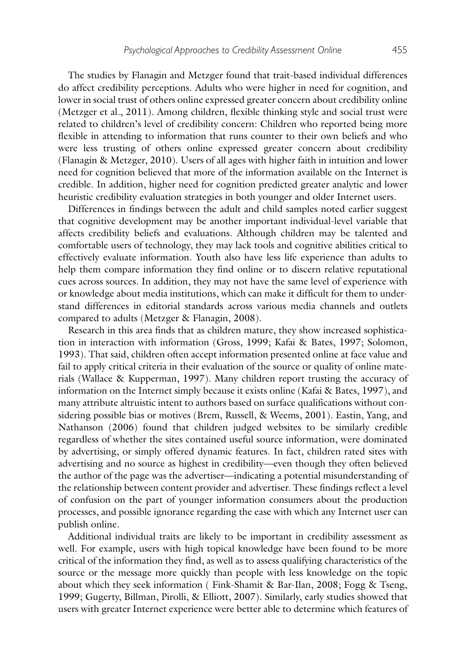The studies by Flanagin and Metzger found that trait-based individual differences do affect credibility perceptions. Adults who were higher in need for cognition, and lower in social trust of others online expressed greater concern about credibility online (Metzger et al., 2011). Among children, flexible thinking style and social trust were related to children's level of credibility concern: Children who reported being more flexible in attending to information that runs counter to their own beliefs and who were less trusting of others online expressed greater concern about credibility (Flanagin & Metzger, 2010). Users of all ages with higher faith in intuition and lower need for cognition believed that more of the information available on the Internet is credible. In addition, higher need for cognition predicted greater analytic and lower heuristic credibility evaluation strategies in both younger and older Internet users.

Differences in findings between the adult and child samples noted earlier suggest that cognitive development may be another important individual-level variable that affects credibility beliefs and evaluations. Although children may be talented and comfortable users of technology, they may lack tools and cognitive abilities critical to effectively evaluate information. Youth also have less life experience than adults to help them compare information they find online or to discern relative reputational cues across sources. In addition, they may not have the same level of experience with or knowledge about media institutions, which can make it difficult for them to understand differences in editorial standards across various media channels and outlets compared to adults (Metzger & Flanagin, 2008).

Research in this area finds that as children mature, they show increased sophistication in interaction with information (Gross, 1999; Kafai & Bates, 1997; Solomon, 1993). That said, children often accept information presented online at face value and fail to apply critical criteria in their evaluation of the source or quality of online materials (Wallace & Kupperman, 1997). Many children report trusting the accuracy of information on the Internet simply because it exists online (Kafai & Bates, 1997), and many attribute altruistic intent to authors based on surface qualifications without considering possible bias or motives (Brem, Russell, & Weems, 2001). Eastin, Yang, and Nathanson (2006) found that children judged websites to be similarly credible regardless of whether the sites contained useful source information, were dominated by advertising, or simply offered dynamic features. In fact, children rated sites with advertising and no source as highest in credibility—even though they often believed the author of the page was the advertiser—indicating a potential misunderstanding of the relationship between content provider and advertiser. These findings reflect a level of confusion on the part of younger information consumers about the production processes, and possible ignorance regarding the ease with which any Internet user can publish online.

Additional individual traits are likely to be important in credibility assessment as well. For example, users with high topical knowledge have been found to be more critical of the information they find, as well as to assess qualifying characteristics of the source or the message more quickly than people with less knowledge on the topic about which they seek information ( Fink-Shamit & Bar-Ilan, 2008; Fogg & Tseng, 1999; Gugerty, Billman, Pirolli, & Elliott, 2007). Similarly, early studies showed that users with greater Internet experience were better able to determine which features of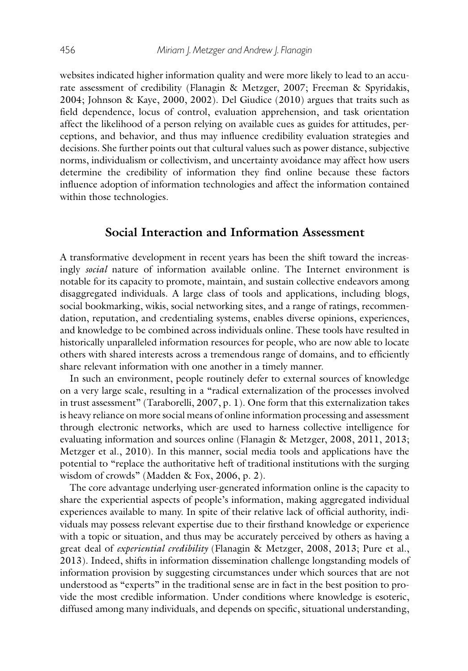websites indicated higher information quality and were more likely to lead to an accurate assessment of credibility (Flanagin & Metzger, 2007; Freeman & Spyridakis, 2004; Johnson & Kaye, 2000, 2002). Del Giudice (2010) argues that traits such as field dependence, locus of control, evaluation apprehension, and task orientation affect the likelihood of a person relying on available cues as guides for attitudes, perceptions, and behavior, and thus may influence credibility evaluation strategies and decisions. She further points out that cultural values such as power distance, subjective norms, individualism or collectivism, and uncertainty avoidance may affect how users determine the credibility of information they find online because these factors influence adoption of information technologies and affect the information contained within those technologies.

### **Social Interaction and Information Assessment**

A transformative development in recent years has been the shift toward the increasingly *social* nature of information available online. The Internet environment is notable for its capacity to promote, maintain, and sustain collective endeavors among disaggregated individuals. A large class of tools and applications, including blogs, social bookmarking, wikis, social networking sites, and a range of ratings, recommendation, reputation, and credentialing systems, enables diverse opinions, experiences, and knowledge to be combined across individuals online. These tools have resulted in historically unparalleled information resources for people, who are now able to locate others with shared interests across a tremendous range of domains, and to efficiently share relevant information with one another in a timely manner.

In such an environment, people routinely defer to external sources of knowledge on a very large scale, resulting in a "radical externalization of the processes involved in trust assessment" (Taraborelli, 2007, p. 1). One form that this externalization takes is heavy reliance on more social means of online information processing and assessment through electronic networks, which are used to harness collective intelligence for evaluating information and sources online (Flanagin & Metzger, 2008, 2011, 2013; Metzger et al., 2010). In this manner, social media tools and applications have the potential to "replace the authoritative heft of traditional institutions with the surging wisdom of crowds" (Madden & Fox, 2006, p. 2).

The core advantage underlying user-generated information online is the capacity to share the experiential aspects of people's information, making aggregated individual experiences available to many. In spite of their relative lack of official authority, individuals may possess relevant expertise due to their firsthand knowledge or experience with a topic or situation, and thus may be accurately perceived by others as having a great deal of *experiential credibility* (Flanagin & Metzger, 2008, 2013; Pure et al., 2013). Indeed, shifts in information dissemination challenge longstanding models of information provision by suggesting circumstances under which sources that are not understood as "experts" in the traditional sense are in fact in the best position to provide the most credible information. Under conditions where knowledge is esoteric, diffused among many individuals, and depends on specific, situational understanding,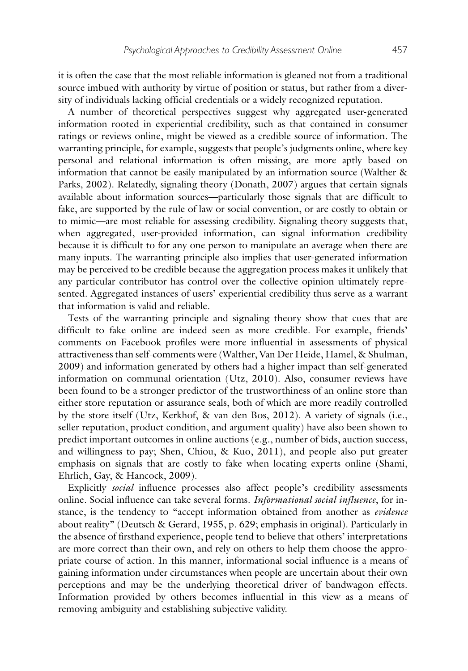it is often the case that the most reliable information is gleaned not from a traditional source imbued with authority by virtue of position or status, but rather from a diversity of individuals lacking official credentials or a widely recognized reputation.

A number of theoretical perspectives suggest why aggregated user-generated information rooted in experiential credibility, such as that contained in consumer ratings or reviews online, might be viewed as a credible source of information. The warranting principle, for example, suggests that people's judgments online, where key personal and relational information is often missing, are more aptly based on information that cannot be easily manipulated by an information source (Walther & Parks, 2002). Relatedly, signaling theory (Donath, 2007) argues that certain signals available about information sources—particularly those signals that are difficult to fake, are supported by the rule of law or social convention, or are costly to obtain or to mimic—are most reliable for assessing credibility. Signaling theory suggests that, when aggregated, user-provided information, can signal information credibility because it is difficult to for any one person to manipulate an average when there are many inputs. The warranting principle also implies that user-generated information may be perceived to be credible because the aggregation process makes it unlikely that any particular contributor has control over the collective opinion ultimately represented. Aggregated instances of users' experiential credibility thus serve as a warrant that information is valid and reliable.

Tests of the warranting principle and signaling theory show that cues that are difficult to fake online are indeed seen as more credible. For example, friends' comments on Facebook profiles were more influential in assessments of physical attractiveness than self-comments were (Walther, Van Der Heide, Hamel, & Shulman, 2009) and information generated by others had a higher impact than self-generated information on communal orientation (Utz, 2010). Also, consumer reviews have been found to be a stronger predictor of the trustworthiness of an online store than either store reputation or assurance seals, both of which are more readily controlled by the store itself (Utz, Kerkhof, & van den Bos, 2012). A variety of signals (i.e., seller reputation, product condition, and argument quality) have also been shown to predict important outcomes in online auctions (e.g., number of bids, auction success, and willingness to pay; Shen, Chiou, & Kuo, 2011), and people also put greater emphasis on signals that are costly to fake when locating experts online (Shami, Ehrlich, Gay, & Hancock, 2009).

Explicitly *social* influence processes also affect people's credibility assessments online. Social influence can take several forms. *Informational social influence*, for instance, is the tendency to "accept information obtained from another as *evidence* about reality" (Deutsch & Gerard, 1955, p. 629; emphasis in original). Particularly in the absence of firsthand experience, people tend to believe that others' interpretations are more correct than their own, and rely on others to help them choose the appropriate course of action. In this manner, informational social influence is a means of gaining information under circumstances when people are uncertain about their own perceptions and may be the underlying theoretical driver of bandwagon effects. Information provided by others becomes influential in this view as a means of removing ambiguity and establishing subjective validity.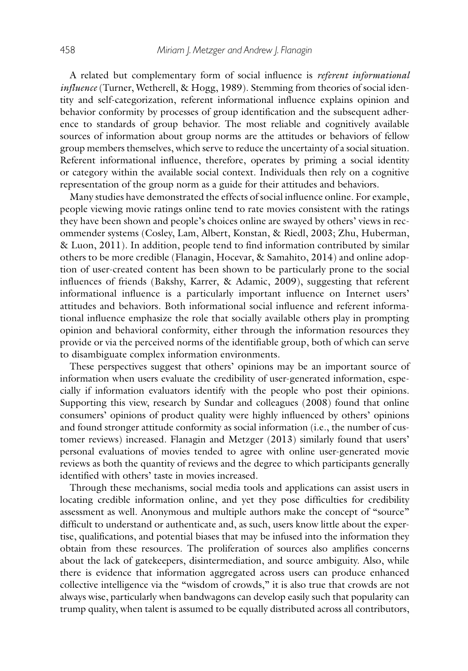A related but complementary form of social influence is *referent informational influence* (Turner, Wetherell, & Hogg, 1989). Stemming from theories of social identity and self-categorization, referent informational influence explains opinion and behavior conformity by processes of group identification and the subsequent adherence to standards of group behavior. The most reliable and cognitively available sources of information about group norms are the attitudes or behaviors of fellow group members themselves, which serve to reduce the uncertainty of a social situation. Referent informational influence, therefore, operates by priming a social identity or category within the available social context. Individuals then rely on a cognitive representation of the group norm as a guide for their attitudes and behaviors.

Many studies have demonstrated the effects of social influence online. For example, people viewing movie ratings online tend to rate movies consistent with the ratings they have been shown and people's choices online are swayed by others' views in recommender systems (Cosley, Lam, Albert, Konstan, & Riedl, 2003; Zhu, Huberman, & Luon, 2011). In addition, people tend to find information contributed by similar others to be more credible (Flanagin, Hocevar, & Samahito, 2014) and online adoption of user-created content has been shown to be particularly prone to the social influences of friends (Bakshy, Karrer, & Adamic, 2009), suggesting that referent informational influence is a particularly important influence on Internet users' attitudes and behaviors. Both informational social influence and referent informational influence emphasize the role that socially available others play in prompting opinion and behavioral conformity, either through the information resources they provide or via the perceived norms of the identifiable group, both of which can serve to disambiguate complex information environments.

These perspectives suggest that others' opinions may be an important source of information when users evaluate the credibility of user-generated information, especially if information evaluators identify with the people who post their opinions. Supporting this view, research by Sundar and colleagues (2008) found that online consumers' opinions of product quality were highly influenced by others' opinions and found stronger attitude conformity as social information (i.e., the number of customer reviews) increased. Flanagin and Metzger (2013) similarly found that users' personal evaluations of movies tended to agree with online user-generated movie reviews as both the quantity of reviews and the degree to which participants generally identified with others' taste in movies increased.

Through these mechanisms, social media tools and applications can assist users in locating credible information online, and yet they pose difficulties for credibility assessment as well. Anonymous and multiple authors make the concept of "source" difficult to understand or authenticate and, as such, users know little about the expertise, qualifications, and potential biases that may be infused into the information they obtain from these resources. The proliferation of sources also amplifies concerns about the lack of gatekeepers, disintermediation, and source ambiguity. Also, while there is evidence that information aggregated across users can produce enhanced collective intelligence via the "wisdom of crowds," it is also true that crowds are not always wise, particularly when bandwagons can develop easily such that popularity can trump quality, when talent is assumed to be equally distributed across all contributors,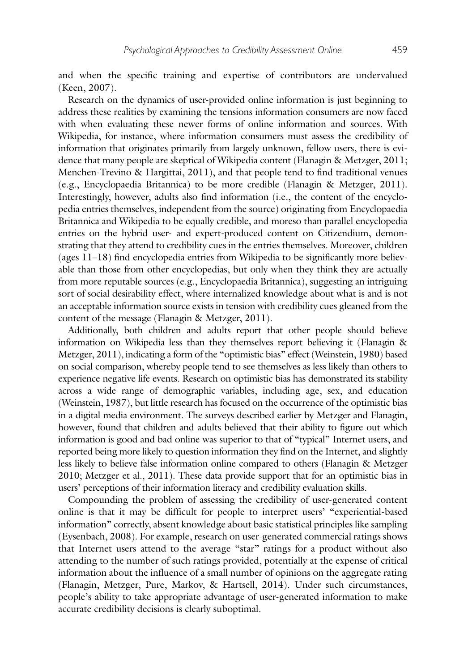and when the specific training and expertise of contributors are undervalued (Keen, 2007).

Research on the dynamics of user-provided online information is just beginning to address these realities by examining the tensions information consumers are now faced with when evaluating these newer forms of online information and sources. With Wikipedia, for instance, where information consumers must assess the credibility of information that originates primarily from largely unknown, fellow users, there is evidence that many people are skeptical of Wikipedia content (Flanagin & Metzger, 2011; Menchen-Trevino & Hargittai, 2011), and that people tend to find traditional venues (e.g., Encyclopaedia Britannica) to be more credible (Flanagin & Metzger, 2011). Interestingly, however, adults also find information (i.e., the content of the encyclopedia entries themselves, independent from the source) originating from Encyclopaedia Britannica and Wikipedia to be equally credible, and moreso than parallel encyclopedia entries on the hybrid user- and expert-produced content on Citizendium, demonstrating that they attend to credibility cues in the entries themselves. Moreover, children (ages 11–18) find encyclopedia entries from Wikipedia to be significantly more believable than those from other encyclopedias, but only when they think they are actually from more reputable sources (e.g., Encyclopaedia Britannica), suggesting an intriguing sort of social desirability effect, where internalized knowledge about what is and is not an acceptable information source exists in tension with credibility cues gleaned from the content of the message (Flanagin & Metzger, 2011).

Additionally, both children and adults report that other people should believe information on Wikipedia less than they themselves report believing it (Flanagin & Metzger, 2011), indicating a form of the "optimistic bias" effect (Weinstein, 1980) based on social comparison, whereby people tend to see themselves as less likely than others to experience negative life events. Research on optimistic bias has demonstrated its stability across a wide range of demographic variables, including age, sex, and education (Weinstein, 1987), but little research has focused on the occurrence of the optimistic bias in a digital media environment. The surveys described earlier by Metzger and Flanagin, however, found that children and adults believed that their ability to figure out which information is good and bad online was superior to that of "typical" Internet users, and reported being more likely to question information they find on the Internet, and slightly less likely to believe false information online compared to others (Flanagin & Metzger 2010; Metzger et al., 2011). These data provide support that for an optimistic bias in users' perceptions of their information literacy and credibility evaluation skills.

Compounding the problem of assessing the credibility of user-generated content online is that it may be difficult for people to interpret users' "experiential-based information" correctly, absent knowledge about basic statistical principles like sampling (Eysenbach, 2008). For example, research on user-generated commercial ratings shows that Internet users attend to the average "star" ratings for a product without also attending to the number of such ratings provided, potentially at the expense of critical information about the influence of a small number of opinions on the aggregate rating (Flanagin, Metzger, Pure, Markov, & Hartsell, 2014). Under such circumstances, people's ability to take appropriate advantage of user-generated information to make accurate credibility decisions is clearly suboptimal.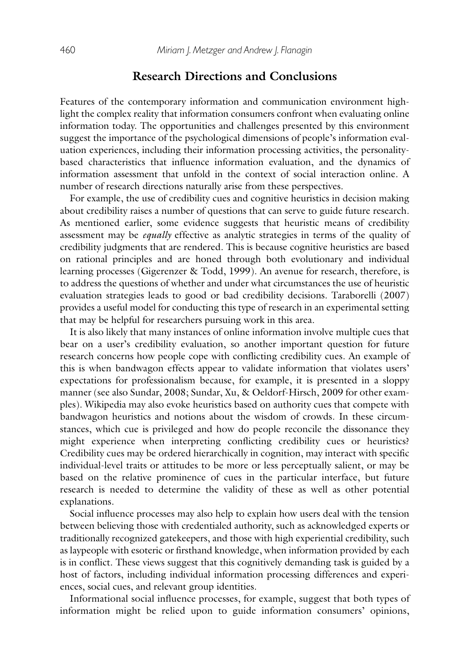#### **Research Directions and Conclusions**

Features of the contemporary information and communication environment highlight the complex reality that information consumers confront when evaluating online information today. The opportunities and challenges presented by this environment suggest the importance of the psychological dimensions of people's information evaluation experiences, including their information processing activities, the personalitybased characteristics that influence information evaluation, and the dynamics of information assessment that unfold in the context of social interaction online. A number of research directions naturally arise from these perspectives.

For example, the use of credibility cues and cognitive heuristics in decision making about credibility raises a number of questions that can serve to guide future research. As mentioned earlier, some evidence suggests that heuristic means of credibility assessment may be *equally* effective as analytic strategies in terms of the quality of credibility judgments that are rendered. This is because cognitive heuristics are based on rational principles and are honed through both evolutionary and individual learning processes (Gigerenzer & Todd, 1999). An avenue for research, therefore, is to address the questions of whether and under what circumstances the use of heuristic evaluation strategies leads to good or bad credibility decisions. Taraborelli (2007) provides a useful model for conducting this type of research in an experimental setting that may be helpful for researchers pursuing work in this area.

It is also likely that many instances of online information involve multiple cues that bear on a user's credibility evaluation, so another important question for future research concerns how people cope with conflicting credibility cues. An example of this is when bandwagon effects appear to validate information that violates users' expectations for professionalism because, for example, it is presented in a sloppy manner (see also Sundar, 2008; Sundar, Xu, & Oeldorf-Hirsch, 2009 for other examples). Wikipedia may also evoke heuristics based on authority cues that compete with bandwagon heuristics and notions about the wisdom of crowds. In these circumstances, which cue is privileged and how do people reconcile the dissonance they might experience when interpreting conflicting credibility cues or heuristics? Credibility cues may be ordered hierarchically in cognition, may interact with specific individual-level traits or attitudes to be more or less perceptually salient, or may be based on the relative prominence of cues in the particular interface, but future research is needed to determine the validity of these as well as other potential explanations.

Social influence processes may also help to explain how users deal with the tension between believing those with credentialed authority, such as acknowledged experts or traditionally recognized gatekeepers, and those with high experiential credibility, such as laypeople with esoteric or firsthand knowledge, when information provided by each is in conflict. These views suggest that this cognitively demanding task is guided by a host of factors, including individual information processing differences and experiences, social cues, and relevant group identities.

Informational social influence processes, for example, suggest that both types of information might be relied upon to guide information consumers' opinions,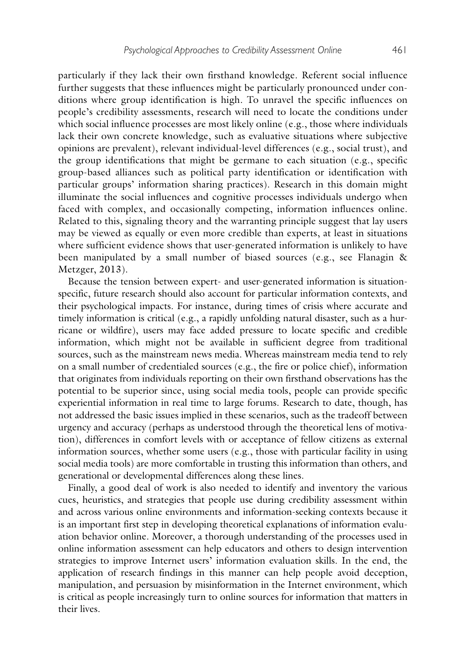particularly if they lack their own firsthand knowledge. Referent social influence further suggests that these influences might be particularly pronounced under conditions where group identification is high. To unravel the specific influences on people's credibility assessments, research will need to locate the conditions under which social influence processes are most likely online (e.g., those where individuals lack their own concrete knowledge, such as evaluative situations where subjective opinions are prevalent), relevant individual-level differences (e.g., social trust), and the group identifications that might be germane to each situation (e.g., specific group-based alliances such as political party identification or identification with particular groups' information sharing practices). Research in this domain might illuminate the social influences and cognitive processes individuals undergo when faced with complex, and occasionally competing, information influences online. Related to this, signaling theory and the warranting principle suggest that lay users may be viewed as equally or even more credible than experts, at least in situations where sufficient evidence shows that user-generated information is unlikely to have been manipulated by a small number of biased sources (e.g., see Flanagin & Metzger, 2013).

Because the tension between expert- and user-generated information is situationspecific, future research should also account for particular information contexts, and their psychological impacts. For instance, during times of crisis where accurate and timely information is critical (e.g., a rapidly unfolding natural disaster, such as a hurricane or wildfire), users may face added pressure to locate specific and credible information, which might not be available in sufficient degree from traditional sources, such as the mainstream news media. Whereas mainstream media tend to rely on a small number of credentialed sources (e.g., the fire or police chief), information that originates from individuals reporting on their own firsthand observations has the potential to be superior since, using social media tools, people can provide specific experiential information in real time to large forums. Research to date, though, has not addressed the basic issues implied in these scenarios, such as the tradeoff between urgency and accuracy (perhaps as understood through the theoretical lens of motivation), differences in comfort levels with or acceptance of fellow citizens as external information sources, whether some users (e.g., those with particular facility in using social media tools) are more comfortable in trusting this information than others, and generational or developmental differences along these lines.

Finally, a good deal of work is also needed to identify and inventory the various cues, heuristics, and strategies that people use during credibility assessment within and across various online environments and information-seeking contexts because it is an important first step in developing theoretical explanations of information evaluation behavior online. Moreover, a thorough understanding of the processes used in online information assessment can help educators and others to design intervention strategies to improve Internet users' information evaluation skills. In the end, the application of research findings in this manner can help people avoid deception, manipulation, and persuasion by misinformation in the Internet environment, which is critical as people increasingly turn to online sources for information that matters in their lives.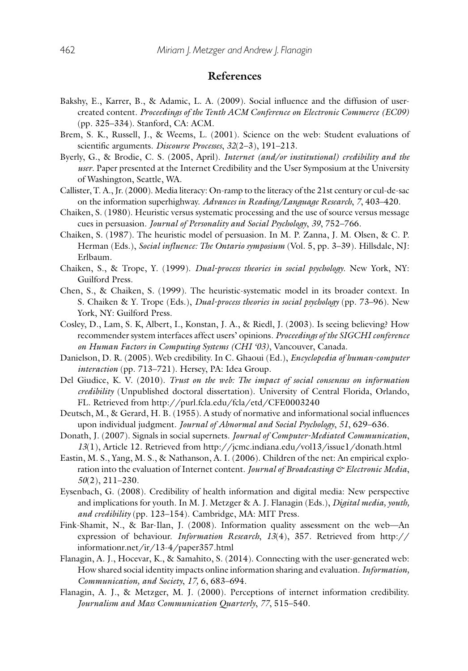#### **References**

- Bakshy, E., Karrer, B., & Adamic, L. A. (2009). Social influence and the diffusion of usercreated content. *Proceedings of the Tenth ACM Conference on Electronic Commerce (EC09)* (pp. 325–334). Stanford, CA: ACM.
- Brem, S. K., Russell, J., & Weems, L. (2001). Science on the web: Student evaluations of scientific arguments. *Discourse Processes*, *32*(2–3), 191–213.
- Byerly, G., & Brodie, C. S. (2005, April). *Internet (and/or institutional) credibility and the user*. Paper presented at the Internet Credibility and the User Symposium at the University of Washington, Seattle, WA.
- Callister, T. A., Jr. (2000). Media literacy: On-ramp to the literacy of the 21st century or cul-de-sac on the information superhighway. *Advances in Reading/Language Research*, *7*, 403–420.
- Chaiken, S. (1980). Heuristic versus systematic processing and the use of source versus message cues in persuasion. *Journal of Personality and Social Psychology*, *39*, 752–766.
- Chaiken, S. (1987). The heuristic model of persuasion. In M. P. Zanna, J. M. Olsen, & C. P. Herman (Eds.), *Social influence: The Ontario symposium* (Vol. 5, pp. 3–39). Hillsdale, NJ: Erlbaum.
- Chaiken, S., & Trope, Y. (1999). *Dual-process theories in social psychology*. New York, NY: Guilford Press.
- Chen, S., & Chaiken, S. (1999). The heuristic-systematic model in its broader context. In S. Chaiken & Y. Trope (Eds.), *Dual-process theories in social psychology* (pp. 73–96). New York, NY: Guilford Press.
- Cosley, D., Lam, S. K, Albert, I., Konstan, J. A., & Riedl, J. (2003). Is seeing believing? How recommender system interfaces affect users' opinions. *Proceedings of the SIGCHI conference on Human Factors in Computing Systems (CHI '03)*, Vancouver, Canada.
- Danielson, D. R. (2005). Web credibility. In C. Ghaoui (Ed.), *Encyclopedia of human-computer interaction* (pp. 713–721). Hersey, PA: Idea Group.
- Del Giudice, K. V. (2010). *Trust on the web: The impact of social consensus on information credibility* (Unpublished doctoral dissertation). University of Central Florida, Orlando, FL. Retrieved from http://purl.fcla.edu/fcla/etd/CFE0003240
- Deutsch, M., & Gerard, H. B. (1955). A study of normative and informational social influences upon individual judgment. *Journal of Abnormal and Social Psychology*, *51*, 629–636.
- Donath, J. (2007). Signals in social supernets. *Journal of Computer-Mediated Communication*, *13*(1), Article 12. Retrieved from http://jcmc.indiana.edu/vol13/issue1/donath.html
- Eastin, M. S., Yang, M. S., & Nathanson, A. I. (2006). Children of the net: An empirical exploration into the evaluation of Internet content. *Journal of Broadcasting & Electronic Media*, *50*(2), 211–230.
- Eysenbach, G. (2008). Credibility of health information and digital media: New perspective and implications for youth. In M. J. Metzger & A. J. Flanagin (Eds.), *Digital media, youth, and credibility* (pp. 123–154). Cambridge, MA: MIT Press.
- Fink-Shamit, N., & Bar-Ilan, J. (2008). Information quality assessment on the web—An expression of behaviour. *Information Research*, *13*(4), 357. Retrieved from http:// informationr.net/ir/13-4/paper357.html
- Flanagin, A. J., Hocevar, K., & Samahito, S. (2014). Connecting with the user-generated web: How shared social identity impacts online information sharing and evaluation. *Information, Communication, and Society*, *17,* 6, 683–694.
- Flanagin, A. J., & Metzger, M. J. (2000). Perceptions of internet information credibility. *Journalism and Mass Communication Quarterly*, *77*, 515–540.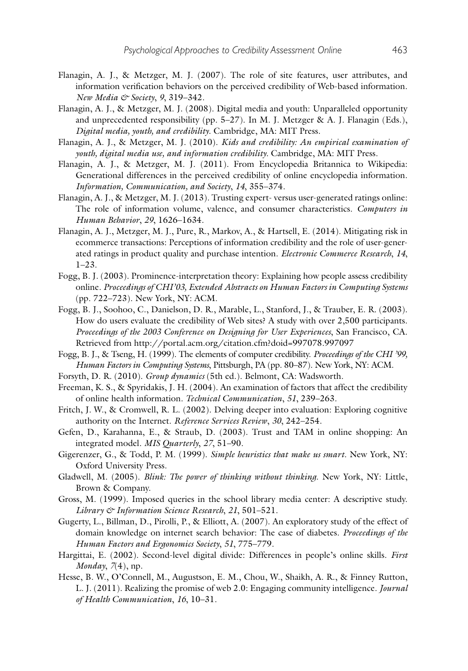- Flanagin, A. J., & Metzger, M. J. (2007). The role of site features, user attributes, and information verification behaviors on the perceived credibility of Web-based information. *New Media & Society*, *9*, 319–342.
- Flanagin, A. J., & Metzger, M. J. (2008). Digital media and youth: Unparalleled opportunity and unprecedented responsibility (pp.  $5-27$ ). In M. J. Metzger & A. J. Flanagin (Eds.), *Digital media, youth, and credibility*. Cambridge, MA: MIT Press.
- Flanagin, A. J., & Metzger, M. J. (2010). *Kids and credibility: An empirical examination of youth, digital media use, and information credibility.* Cambridge, MA: MIT Press.
- Flanagin, A. J., & Metzger, M. J. (2011). From Encyclopedia Britannica to Wikipedia: Generational differences in the perceived credibility of online encyclopedia information. *Information, Communication, and Society*, *14*, 355–374.
- Flanagin, A. J., & Metzger, M. J. (2013). Trusting expert- versus user-generated ratings online: The role of information volume, valence, and consumer characteristics. *Computers in Human Behavior*, *29*, 1626–1634.
- Flanagin, A. J., Metzger, M. J., Pure, R., Markov, A., & Hartsell, E. (2014). Mitigating risk in ecommerce transactions: Perceptions of information credibility and the role of user-generated ratings in product quality and purchase intention. *Electronic Commerce Research*, *14*, 1–23.
- Fogg, B. J. (2003). Prominence-interpretation theory: Explaining how people assess credibility online. *Proceedings of CHI'03, Extended Abstracts on Human Factors in Computing Systems* (pp. 722–723). New York, NY: ACM.
- Fogg, B. J., Soohoo, C., Danielson, D. R., Marable, L., Stanford, J., & Trauber, E. R. (2003). How do users evaluate the credibility of Web sites? A study with over 2,500 participants. *Proceedings of the 2003 Conference on Designing for User Experiences*, San Francisco, CA. Retrieved from http://portal.acm.org/citation.cfm?doid=997078.997097
- Fogg, B. J., & Tseng, H. (1999). The elements of computer credibility. *Proceedings of the CHI '99, Human Factors in Computing Systems*, Pittsburgh, PA (pp. 80–87). New York, NY: ACM.
- Forsyth, D. R. (2010). *Group dynamics* (5th ed.). Belmont, CA: Wadsworth.
- Freeman, K. S., & Spyridakis, J. H. (2004). An examination of factors that affect the credibility of online health information. *Technical Communication*, *51*, 239–263.
- Fritch, J. W., & Cromwell, R. L. (2002). Delving deeper into evaluation: Exploring cognitive authority on the Internet. *Reference Services Review*, *30*, 242–254.
- Gefen, D., Karahanna, E., & Straub, D. (2003). Trust and TAM in online shopping: An integrated model. *MIS Quarterly*, *27*, 51–90.
- Gigerenzer, G., & Todd, P. M. (1999). *Simple heuristics that make us smart*. New York, NY: Oxford University Press.
- Gladwell, M. (2005). *Blink: The power of thinking without thinking*. New York, NY: Little, Brown & Company.
- Gross, M. (1999). Imposed queries in the school library media center: A descriptive study. *Library & Information Science Research*, *21*, 501–521.
- Gugerty, L., Billman, D., Pirolli, P., & Elliott, A. (2007). An exploratory study of the effect of domain knowledge on internet search behavior: The case of diabetes. *Proceedings of the Human Factors and Ergonomics Society*, *51*, 775–779.
- Hargittai, E. (2002). Second-level digital divide: Differences in people's online skills. *First Monday*, *7*(4), np.
- Hesse, B. W., O'Connell, M., Augustson, E. M., Chou, W., Shaikh, A. R., & Finney Rutton, L. J. (2011). Realizing the promise of web 2.0: Engaging community intelligence. *Journal of Health Communication*, *16*, 10–31.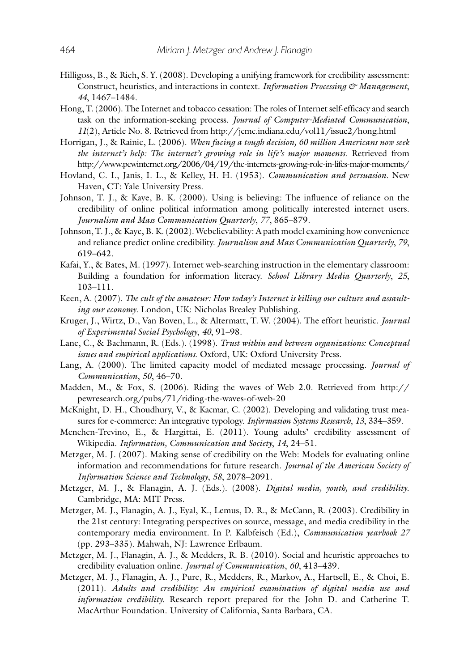- Hilligoss, B., & Rieh, S. Y. (2008). Developing a unifying framework for credibility assessment: Construct, heuristics, and interactions in context. *Information Processing & Management*, *44*, 1467–1484.
- Hong, T. (2006). The Internet and tobacco cessation: The roles of Internet self-efficacy and search task on the information-seeking process. *Journal of Computer-Mediated Communication*, *11*(2), Article No. 8. Retrieved from http://jcmc.indiana.edu/vol11/issue2/hong.html
- Horrigan, J., & Rainie, L. (2006). *When facing a tough decision, 60 million Americans now seek the internet's help: The internet's growing role in life's major moments*. Retrieved from http://www.pewinternet.org/2006/04/19/the-internets-growing-role-in-lifes-major-moments/
- Hovland, C. I., Janis, I. L., & Kelley, H. H. (1953). *Communication and persuasion.* New Haven, CT: Yale University Press.
- Johnson, T. J., & Kaye, B. K. (2000). Using is believing: The influence of reliance on the credibility of online political information among politically interested internet users. *Journalism and Mass Communication Quarterly*, *77*, 865–879.
- Johnson, T. J., & Kaye, B. K. (2002). Webelievability: A path model examining how convenience and reliance predict online credibility. *Journalism and Mass Communication Quarterly*, *79*, 619–642.
- Kafai, Y., & Bates, M. (1997). Internet web-searching instruction in the elementary classroom: Building a foundation for information literacy. *School Library Media Quarterly*, *25*, 103–111.
- Keen, A. (2007). *The cult of the amateur: How today's Internet is killing our culture and assaulting our economy*. London, UK: Nicholas Brealey Publishing.
- Kruger, J., Wirtz, D., Van Boven, L., & Altermatt, T. W. (2004). The effort heuristic. *Journal of Experimental Social Psychology*, *40*, 91–98.
- Lane, C., & Bachmann, R. (Eds.). (1998). *Trust within and between organizations: Conceptual issues and empirical applications*. Oxford, UK: Oxford University Press.
- Lang, A. (2000). The limited capacity model of mediated message processing. *Journal of Communication*, *50*, 46–70.
- Madden, M., & Fox, S. (2006). Riding the waves of Web 2.0. Retrieved from http:// pewresearch.org/pubs/71/riding-the-waves-of-web-20
- McKnight, D. H., Choudhury, V., & Kacmar, C. (2002). Developing and validating trust measures for e-commerce: An integrative typology. *Information Systems Research*, *13*, 334–359.
- Menchen-Trevino, E., & Hargittai, E. (2011). Young adults' credibility assessment of Wikipedia. *Information, Communication and Society*, *14*, 24–51.
- Metzger, M. J. (2007). Making sense of credibility on the Web: Models for evaluating online information and recommendations for future research. *Journal of the American Society of Information Science and Technology*, *58*, 2078–2091.
- Metzger, M. J., & Flanagin, A. J. (Eds.). (2008). *Digital media, youth, and credibility*. Cambridge, MA: MIT Press.
- Metzger, M. J., Flanagin, A. J., Eyal, K., Lemus, D. R., & McCann, R. (2003). Credibility in the 21st century: Integrating perspectives on source, message, and media credibility in the contemporary media environment. In P. Kalbfeisch (Ed.), *Communication yearbook 27* (pp. 293–335). Mahwah, NJ: Lawrence Erlbaum.
- Metzger, M. J., Flanagin, A. J., & Medders, R. B. (2010). Social and heuristic approaches to credibility evaluation online. *Journal of Communication*, *60*, 413–439.
- Metzger, M. J., Flanagin, A. J., Pure, R., Medders, R., Markov, A., Hartsell, E., & Choi, E. (2011). *Adults and credibility: An empirical examination of digital media use and information credibility*. Research report prepared for the John D. and Catherine T. MacArthur Foundation. University of California, Santa Barbara, CA.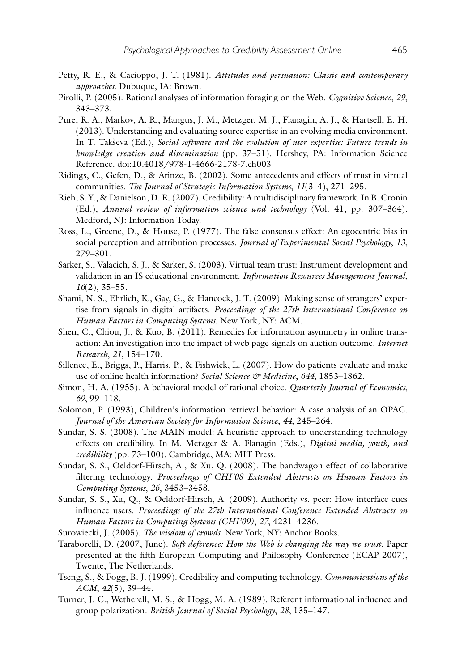- Petty, R. E., & Cacioppo, J. T. (1981). *Attitudes and persuasion: Classic and contemporary approaches*. Dubuque, IA: Brown.
- Pirolli, P. (2005). Rational analyses of information foraging on the Web. *Cognitive Science*, *29*, 343–373.
- Pure, R. A., Markov, A. R., Mangus, J. M., Metzger, M. J., Flanagin, A. J., & Hartsell, E. H. (2013). Understanding and evaluating source expertise in an evolving media environment. In T. Takševa (Ed.), *Social software and the evolution of user expertise: Future trends in knowledge creation and dissemination* (pp. 37–51). Hershey, PA: Information Science Reference. doi:10.4018/978-1-4666-2178-7.ch003
- Ridings, C., Gefen, D., & Arinze, B. (2002). Some antecedents and effects of trust in virtual communities. *The Journal of Strategic Information Systems*, *11*(3–4), 271–295.
- Rieh, S. Y., & Danielson, D. R. (2007). Credibility: A multidisciplinary framework. In B. Cronin (Ed.), *Annual review of information science and technology* (Vol. 41, pp. 307–364). Medford, NJ: Information Today.
- Ross, L., Greene, D., & House, P. (1977). The false consensus effect: An egocentric bias in social perception and attribution processes. *Journal of Experimental Social Psychology*, *13*, 279–301.
- Sarker, S., Valacich, S. J., & Sarker, S. (2003). Virtual team trust: Instrument development and validation in an IS educational environment. *Information Resources Management Journal*, *16*(2), 35–55.
- Shami, N. S., Ehrlich, K., Gay, G., & Hancock, J. T. (2009). Making sense of strangers' expertise from signals in digital artifacts. *Proceedings of the 27th International Conference on Human Factors in Computing Systems*. New York, NY: ACM.
- Shen, C., Chiou, J., & Kuo, B. (2011). Remedies for information asymmetry in online transaction: An investigation into the impact of web page signals on auction outcome. *Internet Research*, *21*, 154–170.
- Sillence, E., Briggs, P., Harris, P., & Fishwick, L. (2007). How do patients evaluate and make use of online health information? *Social Science & Medicine*, *644*, 1853–1862.
- Simon, H. A. (1955). A behavioral model of rational choice. *Quarterly Journal of Economics*, *69*, 99–118.
- Solomon, P. (1993), Children's information retrieval behavior: A case analysis of an OPAC. *Journal of the American Society for Information Science*, *44*, 245–264.
- Sundar, S. S. (2008). The MAIN model: A heuristic approach to understanding technology effects on credibility. In M. Metzger & A. Flanagin (Eds.), *Digital media, youth, and credibility* (pp. 73–100). Cambridge, MA: MIT Press.
- Sundar, S. S., Oeldorf-Hirsch, A., & Xu, Q. (2008). The bandwagon effect of collaborative filtering technology. *Proceedings of CHI'08 Extended Abstracts on Human Factors in Computing Systems*, *26*, 3453–3458.
- Sundar, S. S., Xu, Q., & Oeldorf-Hirsch, A. (2009). Authority vs. peer: How interface cues influence users. *Proceedings of the 27th International Conference Extended Abstracts on Human Factors in Computing Systems (CHI'09)*, *27*, 4231–4236.
- Surowiecki, J. (2005). *The wisdom of crowds*. New York, NY: Anchor Books.
- Taraborelli, D. (2007, June). *Soft deference: How the Web is changing the way we trust*. Paper presented at the fifth European Computing and Philosophy Conference (ECAP 2007), Twente, The Netherlands.
- Tseng, S., & Fogg, B. J. (1999). Credibility and computing technology. *Communications of the ACM*, *42*(5), 39–44.
- Turner, J. C., Wetherell, M. S., & Hogg, M. A. (1989). Referent informational influence and group polarization. *British Journal of Social Psychology*, *28*, 135–147.